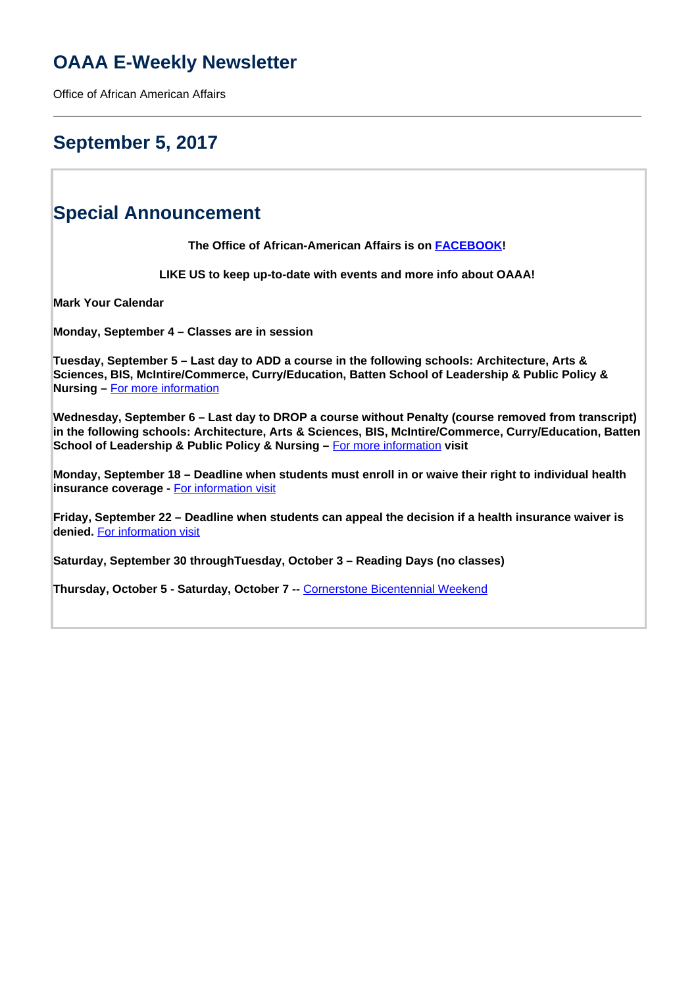# **OAAA E-Weekly Newsletter**

Office of African American Affairs

# **September 5, 2017**

# **Special Announcement**

**The Office of African-American Affairs is on [FACEBOOK](https://www.facebook.com/OfficeofAfricanAmericanAffairs)!**

**LIKE US to keep up-to-date with events and more info about OAAA!**

**Mark Your Calendar**

**Monday, September 4 – Classes are in session**

**Tuesday, September 5 – Last day to ADD a course in the following schools: Architecture, Arts & Sciences, BIS, McIntire/Commerce, Curry/Education, Batten School of Leadership & Public Policy & Nursing –** For more information

**Wednesday, September 6 – Last day to DROP a course without Penalty (course removed from transcript) in the following schools: Architecture, Arts & Sciences, BIS, McIntire/Commerce, Curry/Education, Batten School of Leadership & Public Policy & Nursing –** For more information **visit**

**Monday, September 18 – Deadline when students must enroll in or waive their right to individual health insurance coverage -** For information visit

**Friday, September 22 – Deadline when students can appeal the decision if a health insurance waiver is denied.** For information visit

**Saturday, September 30 throughTuesday, October 3 – Reading Days (no classes)** 

**Thursday, October 5 - Saturday, October 7 --** Cornerstone Bicentennial Weekend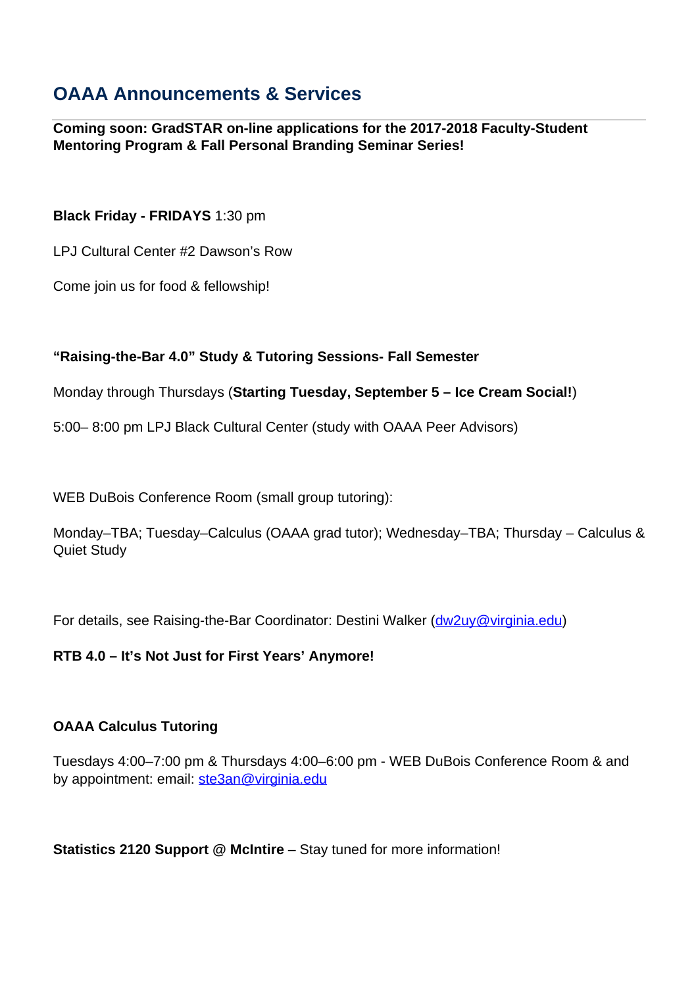# **OAAA Announcements & Services**

**Coming soon: GradSTAR on-line applications for the 2017-2018 Faculty-Student Mentoring Program & Fall Personal Branding Seminar Series!** 

## **Black Friday - FRIDAYS** 1:30 pm

LPJ Cultural Center #2 Dawson's Row

Come join us for food & fellowship!

## **"Raising-the-Bar 4.0" Study & Tutoring Sessions- Fall Semester**

## Monday through Thursdays (**Starting Tuesday, September 5 – Ice Cream Social!**)

5:00– 8:00 pm LPJ Black Cultural Center (study with OAAA Peer Advisors)

WEB DuBois Conference Room (small group tutoring):

Monday–TBA; Tuesday–Calculus (OAAA grad tutor); Wednesday–TBA; Thursday – Calculus & Quiet Study

For details, see Raising-the-Bar Coordinator: Destini Walker (dw2uy@virginia.edu)

## **RTB 4.0 – It's Not Just for First Years' Anymore!**

## **OAAA Calculus Tutoring**

Tuesdays 4:00–7:00 pm & Thursdays 4:00–6:00 pm - WEB DuBois Conference Room & and by appointment: email: ste3an@virginia.edu

**Statistics 2120 Support @ McIntire** – Stay tuned for more information!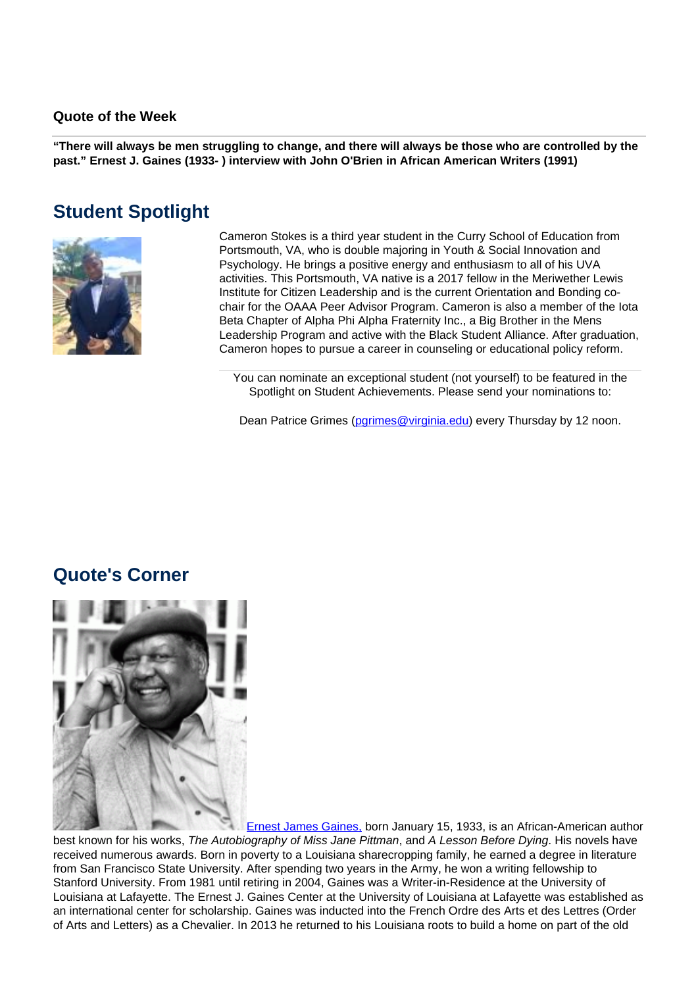#### **Quote of the Week**

**"There will always be men struggling to change, and there will always be those who are controlled by the past." Ernest J. Gaines (1933- ) interview with John O'Brien in African American Writers (1991)**

## **Student Spotlight**



Cameron Stokes is a third year student in the Curry School of Education from Portsmouth, VA, who is double majoring in Youth & Social Innovation and Psychology. He brings a positive energy and enthusiasm to all of his UVA activities. This Portsmouth, VA native is a 2017 fellow in the Meriwether Lewis Institute for Citizen Leadership and is the current Orientation and Bonding cochair for the OAAA Peer Advisor Program. Cameron is also a member of the Iota Beta Chapter of Alpha Phi Alpha Fraternity Inc., a Big Brother in the Mens Leadership Program and active with the Black Student Alliance. After graduation, Cameron hopes to pursue a career in counseling or educational policy reform.

You can nominate an exceptional student (not yourself) to be featured in the Spotlight on Student Achievements. Please send your nominations to:

Dean Patrice Grimes (parimes@virginia.edu) every Thursday by 12 noon.

## **Quote's Corner**



Ernest James Gaines, born January 15, 1933, is an African-American author best known for his works, The Autobiography of Miss Jane Pittman, and A Lesson Before Dying. His novels have received numerous awards. Born in poverty to a Louisiana sharecropping family, he earned a degree in literature from San Francisco State University. After spending two years in the Army, he won a writing fellowship to Stanford University. From 1981 until retiring in 2004, Gaines was a Writer-in-Residence at the University of Louisiana at Lafayette. The Ernest J. Gaines Center at the University of Louisiana at Lafayette was established as an international center for scholarship. Gaines was inducted into the French Ordre des Arts et des Lettres (Order of Arts and Letters) as a Chevalier. In 2013 he returned to his Louisiana roots to build a home on part of the old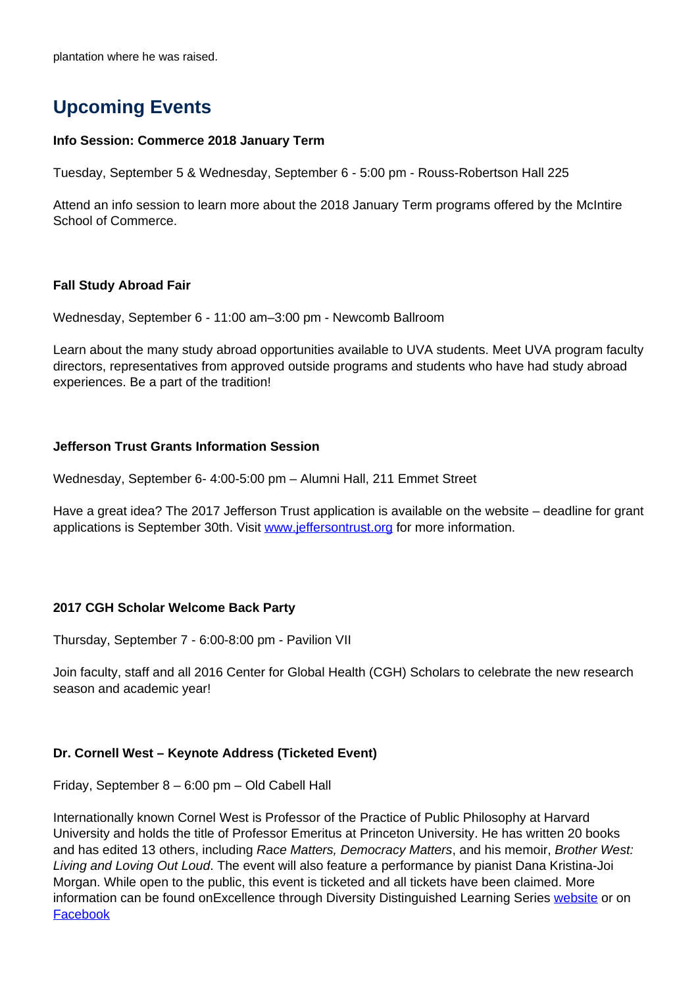# **Upcoming Events**

### **Info Session: Commerce 2018 January Term**

Tuesday, September 5 & Wednesday, September 6 - 5:00 pm - Rouss-Robertson Hall 225

Attend an info session to learn more about the 2018 January Term programs offered by the McIntire School of Commerce.

#### **Fall Study Abroad Fair**

Wednesday, September 6 - 11:00 am–3:00 pm - Newcomb Ballroom

Learn about the many study abroad opportunities available to UVA students. Meet UVA program faculty directors, representatives from approved outside programs and students who have had study abroad experiences. Be a part of the tradition!

#### **Jefferson Trust Grants Information Session**

Wednesday, September 6- 4:00-5:00 pm – Alumni Hall, 211 Emmet Street

Have a great idea? The 2017 Jefferson Trust application is available on the website – deadline for grant applications is September 30th. Visit www.jeffersontrust.org for more information.

#### **2017 CGH Scholar Welcome Back Party**

Thursday, September 7 - 6:00-8:00 pm - Pavilion VII

Join faculty, staff and all 2016 Center for Global Health (CGH) Scholars to celebrate the new research season and academic year!

#### **Dr. Cornell West – Keynote Address (Ticketed Event)**

Friday, September 8 – 6:00 pm – Old Cabell Hall

Internationally known Cornel West is Professor of the Practice of Public Philosophy at Harvard University and holds the title of Professor Emeritus at Princeton University. He has written 20 books and has edited 13 others, including Race Matters, Democracy Matters, and his memoir, Brother West: Living and Loving Out Loud. The event will also feature a performance by pianist Dana Kristina-Joi Morgan. While open to the public, this event is ticketed and all tickets have been claimed. More information can be found onExcellence through Diversity Distinguished Learning Series website or on Facebook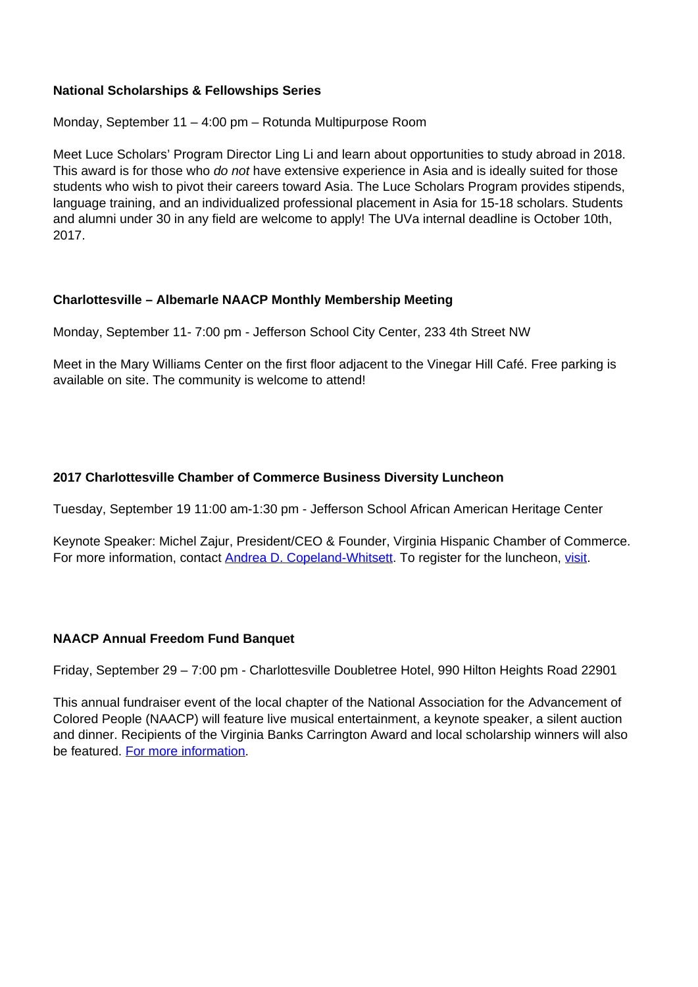#### **National Scholarships & Fellowships Series**

Monday, September 11 – 4:00 pm – Rotunda Multipurpose Room

Meet Luce Scholars' Program Director Ling Li and learn about opportunities to study abroad in 2018. This award is for those who do not have extensive experience in Asia and is ideally suited for those students who wish to pivot their careers toward Asia. The Luce Scholars Program provides stipends, language training, and an individualized professional placement in Asia for 15-18 scholars. Students and alumni under 30 in any field are welcome to apply! The UVa internal deadline is October 10th, 2017.

#### **Charlottesville – Albemarle NAACP Monthly Membership Meeting**

Monday, September 11- 7:00 pm - Jefferson School City Center, 233 4th Street NW

Meet in the Mary Williams Center on the first floor adjacent to the Vinegar Hill Café. Free parking is available on site. The community is welcome to attend!

#### **2017 Charlottesville Chamber of Commerce Business Diversity Luncheon**

Tuesday, September 19 11:00 am-1:30 pm - Jefferson School African American Heritage Center

Keynote Speaker: Michel Zajur, President/CEO & Founder, Virginia Hispanic Chamber of Commerce. For more information, contact Andrea D. Copeland-Whitsett. To register for the luncheon, visit.

#### **NAACP Annual Freedom Fund Banquet**

Friday, September 29 – 7:00 pm - Charlottesville Doubletree Hotel, 990 Hilton Heights Road 22901

This annual fundraiser event of the local chapter of the National Association for the Advancement of Colored People (NAACP) will feature live musical entertainment, a keynote speaker, a silent auction and dinner. Recipients of the Virginia Banks Carrington Award and local scholarship winners will also be featured. For more information.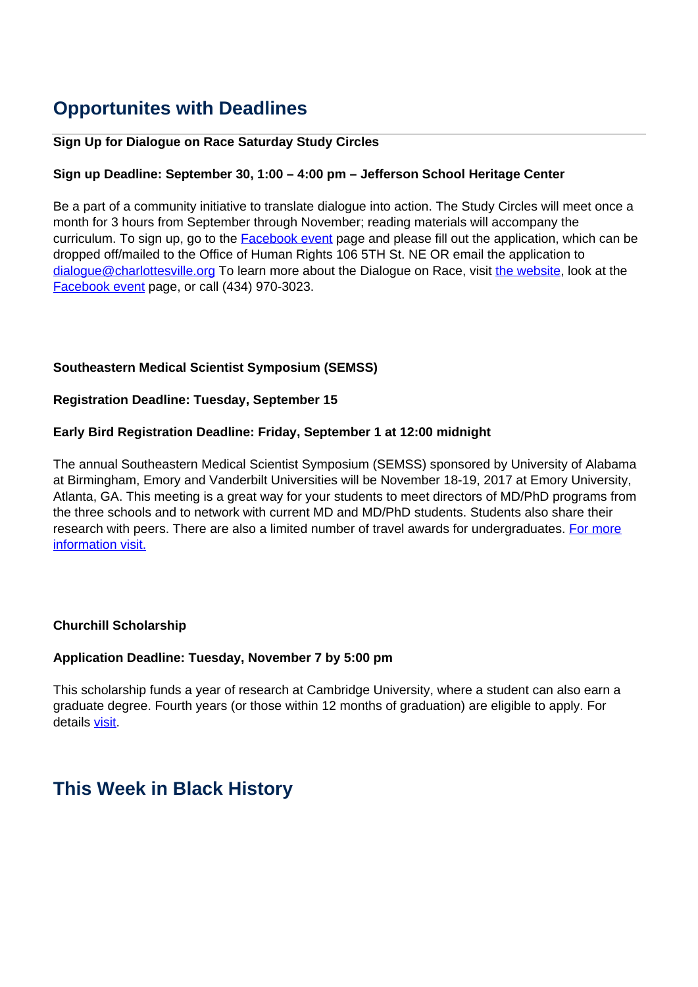# **Opportunites with Deadlines**

#### **Sign Up for Dialogue on Race Saturday Study Circles**

#### **Sign up Deadline: September 30, 1:00 – 4:00 pm – Jefferson School Heritage Center**

Be a part of a community initiative to translate dialogue into action. The Study Circles will meet once a month for 3 hours from September through November; reading materials will accompany the curriculum. To sign up, go to the Facebook event page and please fill out the application, which can be dropped off/mailed to the Office of Human Rights 106 5TH St. NE OR email the application to dialogue@charlottesville.org To learn more about the Dialogue on Race, visit the website, look at the Facebook event page, or call (434) 970-3023.

#### **Southeastern Medical Scientist Symposium (SEMSS)**

#### **Registration Deadline: Tuesday, September 15**

#### **Early Bird Registration Deadline: Friday, September 1 at 12:00 midnight**

The annual Southeastern Medical Scientist Symposium (SEMSS) sponsored by University of Alabama at Birmingham, Emory and Vanderbilt Universities will be November 18-19, 2017 at Emory University, Atlanta, GA. This meeting is a great way for your students to meet directors of MD/PhD programs from the three schools and to network with current MD and MD/PhD students. Students also share their research with peers. There are also a limited number of travel awards for undergraduates. For more information visit.

#### **Churchill Scholarship**

#### **Application Deadline: Tuesday, November 7 by 5:00 pm**

This scholarship funds a year of research at Cambridge University, where a student can also earn a graduate degree. Fourth years (or those within 12 months of graduation) are eligible to apply. For details visit.

# **This Week in Black History**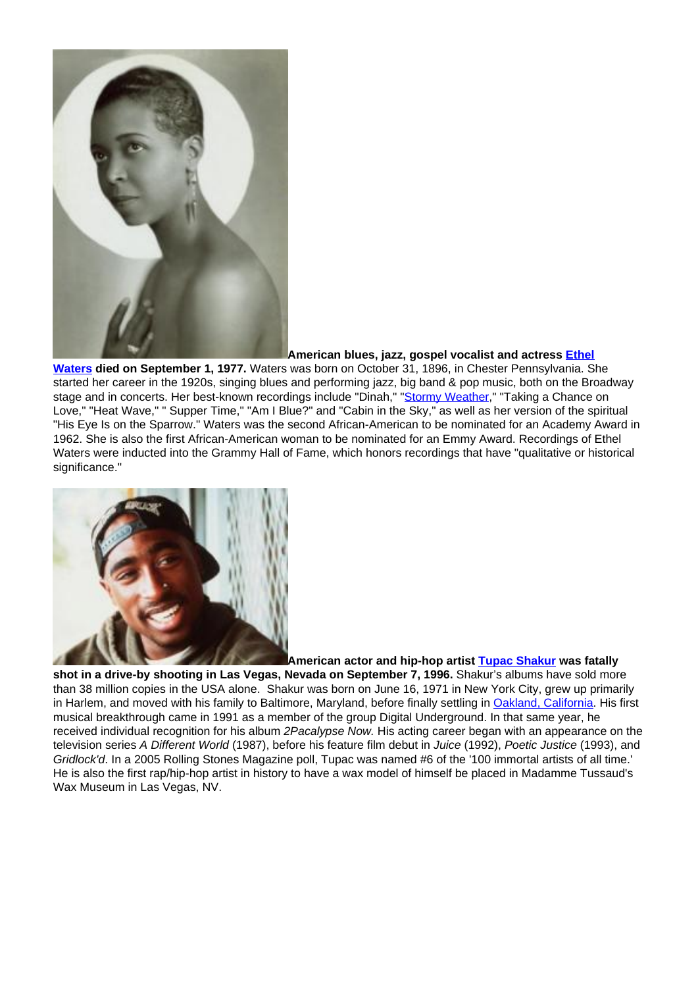

#### **American blues, jazz, gospel vocalist and actress Ethel**

**Waters died on September 1, 1977.** Waters was born on October 31, 1896, in Chester Pennsylvania. She started her career in the 1920s, singing blues and performing jazz, big band & pop music, both on the Broadway stage and in concerts. Her best-known recordings include "Dinah," "Stormy Weather," "Taking a Chance on Love," "Heat Wave," " Supper Time," "Am I Blue?" and "Cabin in the Sky," as well as her version of the spiritual "His Eye Is on the Sparrow." Waters was the second African-American to be nominated for an Academy Award in 1962. She is also the first African-American woman to be nominated for an Emmy Award. Recordings of Ethel Waters were inducted into the Grammy Hall of Fame, which honors recordings that have "qualitative or historical significance."



#### **American actor and hip-hop artist Tupac Shakur was fatally**

**shot in a drive-by shooting in Las Vegas, Nevada on September 7, 1996.** Shakur's albums have sold more than 38 million copies in the USA alone. Shakur was born on June 16, 1971 in New York City, grew up primarily in Harlem, and moved with his family to Baltimore, Maryland, before finally settling in Oakland, California. His first musical breakthrough came in 1991 as a member of the group Digital Underground. In that same year, he received individual recognition for his album 2Pacalypse Now. His acting career began with an appearance on the television series A Different World (1987), before his feature film debut in Juice (1992), Poetic Justice (1993), and Gridlock'd. In a 2005 Rolling Stones Magazine poll, Tupac was named #6 of the '100 immortal artists of all time.' He is also the first rap/hip-hop artist in history to have a wax model of himself be placed in Madamme Tussaud's Wax Museum in Las Vegas, NV.